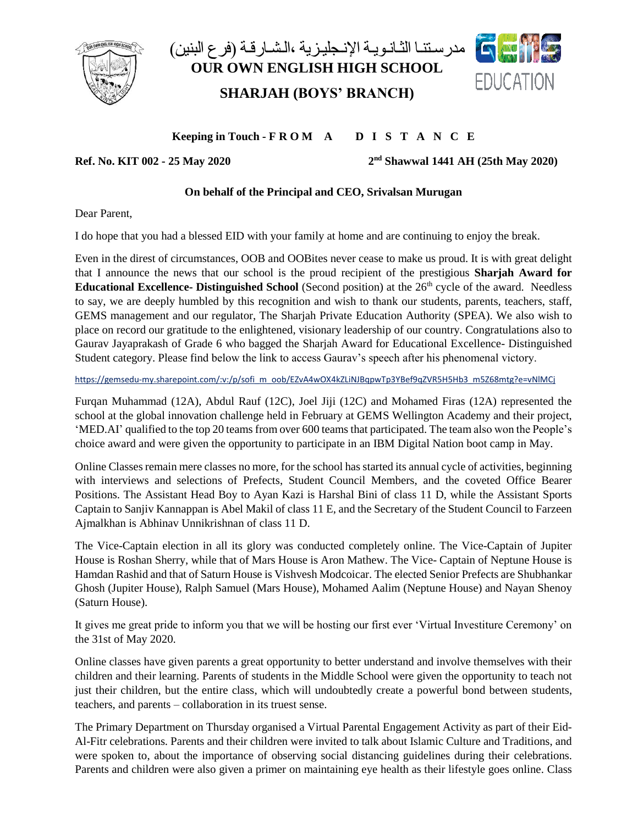

## فيل السابق التانـويـة الإنـجليـزية ،الـشـارقـة (فرع البنين) **OUR OWN ENGLISH HIGH SCHOOL SHARJAH (BOYS' BRANCH)**



**Keeping in Touch - F R O M A D I S T A N C E**

**Ref. No. KIT 002 - 25 May 2020 2**

**nd Shawwal 1441 AH (25th May 2020)**

## **On behalf of the Principal and CEO, Srivalsan Murugan**

Dear Parent,

I do hope that you had a blessed EID with your family at home and are continuing to enjoy the break.

Even in the direst of circumstances, OOB and OOBites never cease to make us proud. It is with great delight that I announce the news that our school is the proud recipient of the prestigious **Sharjah Award for Educational Excellence-** Distinguished School (Second position) at the 26<sup>th</sup> cycle of the award. Needless to say, we are deeply humbled by this recognition and wish to thank our students, parents, teachers, staff, GEMS management and our regulator, The Sharjah Private Education Authority (SPEA). We also wish to place on record our gratitude to the enlightened, visionary leadership of our country. Congratulations also to Gaurav Jayaprakash of Grade 6 who bagged the Sharjah Award for Educational Excellence- Distinguished Student category. Please find below the link to access Gaurav's speech after his phenomenal victory.

[https://gemsedu-my.sharepoint.com/:v:/p/sofi\\_m\\_oob/EZvA4wOX4kZLiNJBqpwTp3YBef9qZVR5H5Hb3\\_m5Z68mtg?e=vNlMCj](https://gemsedu-my.sharepoint.com/:v:/p/sofi_m_oob/EZvA4wOX4kZLiNJBqpwTp3YBef9qZVR5H5Hb3_m5Z68mtg?e=vNlMCj)

Furqan Muhammad (12A), Abdul Rauf (12C), Joel Jiji (12C) and Mohamed Firas (12A) represented the school at the global innovation challenge held in February at GEMS Wellington Academy and their project, 'MED.AI' qualified to the top 20 teams from over 600 teams that participated. The team also won the People's choice award and were given the opportunity to participate in an IBM Digital Nation boot camp in May.

Online Classes remain mere classes no more, for the school has started its annual cycle of activities, beginning with interviews and selections of Prefects, Student Council Members, and the coveted Office Bearer Positions. The Assistant Head Boy to Ayan Kazi is Harshal Bini of class 11 D, while the Assistant Sports Captain to Sanjiv Kannappan is Abel Makil of class 11 E, and the Secretary of the Student Council to Farzeen Ajmalkhan is Abhinav Unnikrishnan of class 11 D.

The Vice-Captain election in all its glory was conducted completely online. The Vice-Captain of Jupiter House is Roshan Sherry, while that of Mars House is Aron Mathew. The Vice- Captain of Neptune House is Hamdan Rashid and that of Saturn House is Vishvesh Modcoicar. The elected Senior Prefects are Shubhankar Ghosh (Jupiter House), Ralph Samuel (Mars House), Mohamed Aalim (Neptune House) and Nayan Shenoy (Saturn House).

It gives me great pride to inform you that we will be hosting our first ever 'Virtual Investiture Ceremony' on the 31st of May 2020.

Online classes have given parents a great opportunity to better understand and involve themselves with their children and their learning. Parents of students in the Middle School were given the opportunity to teach not just their children, but the entire class, which will undoubtedly create a powerful bond between students, teachers, and parents – collaboration in its truest sense.

The Primary Department on Thursday organised a Virtual Parental Engagement Activity as part of their Eid-Al-Fitr celebrations. Parents and their children were invited to talk about Islamic Culture and Traditions, and were spoken to, about the importance of observing social distancing guidelines during their celebrations. Parents and children were also given a primer on maintaining eye health as their lifestyle goes online. Class